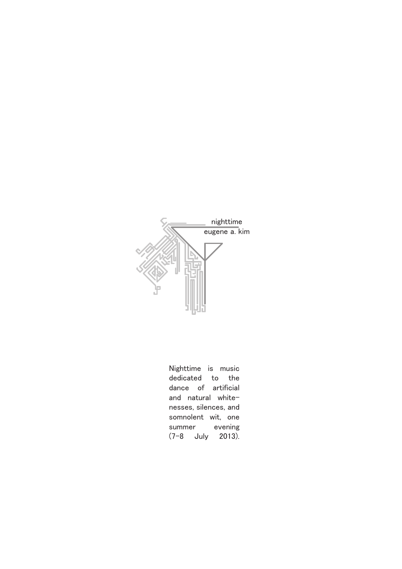

Nighttime is music dedicated to the dance of artificial and natural whitenesses, silences, and somnolent wit, one summer evening (7-8 July 2013).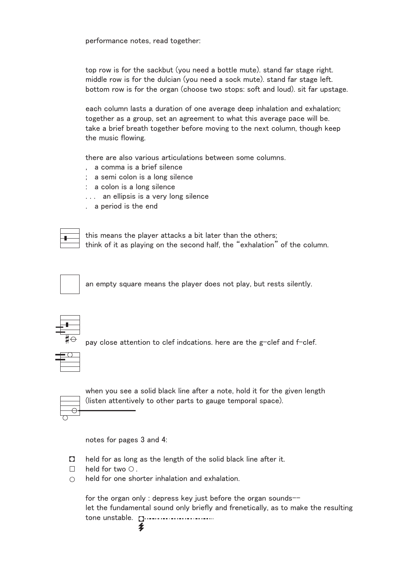performance notes, read together:

top row is for the sackbut (you need a bottle mute). stand far stage right. middle row is for the dulcian (you need a sock mute). stand far stage left. bottom row is for the organ (choose two stops: soft and loud). sit far upstage.

each column lasts a duration of one average deep inhalation and exhalation; together as a group, set an agreement to what this average pace will be. take a brief breath together before moving to the next column, though keep the music flowing.

there are also various articulations between some columns.

- a comma is a brief silence
- ; a semi colon is a long silence
- : a colon is a long silence
- ... an ellipsis is a very long silence
- . a period is the end

this means the player attacks a bit later than the others; think of it as playing on the second half, the "exhalation" of the column.

an empty square means the player does not play, but rests silently.



pay close attention to clef indcations. here are the g-clef and f-clef.



when you see a solid black line after a note, hold it for the given length (listen attentively to other parts to gauge temporal space).

notes for pages 3 and 4:

- held for as long as the length of the solid black line after it.  $\Box$
- $\Box$ held for two  $\circlearrowright$ .
- held for one shorter inhalation and exhalation.  $\bigcirc$

for the organ only : depress key just before the organ sounds-let the fundamental sound only briefly and frenetically, as to make the resulting tone unstable.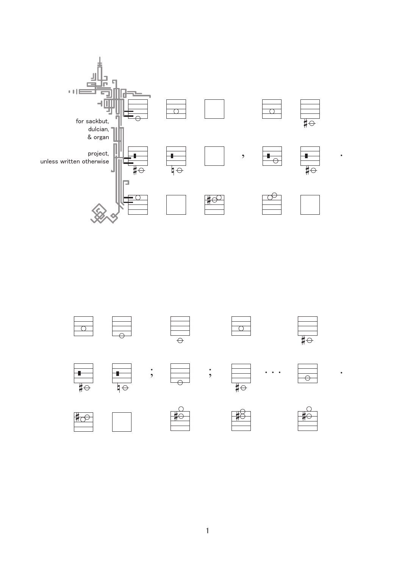



 $\ddot{\phantom{0}}$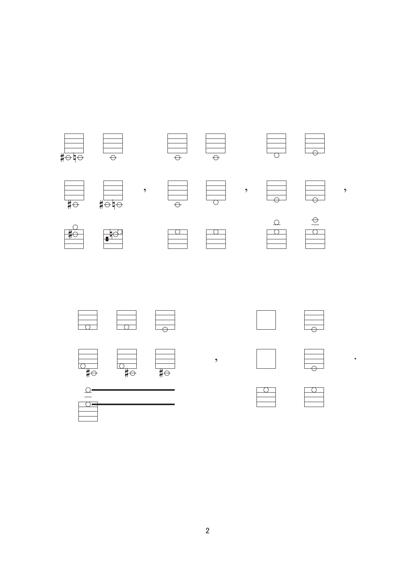



 $\begin{array}{c} \n\hline\n\end{array}$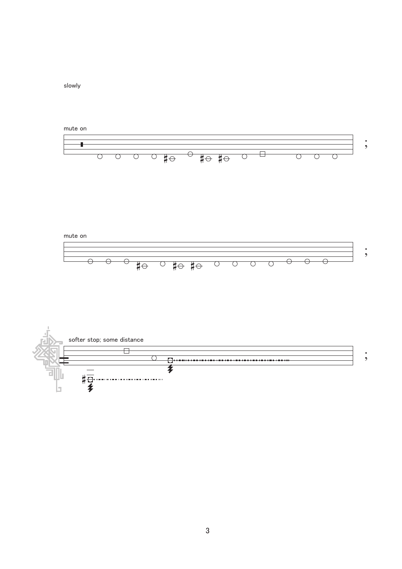





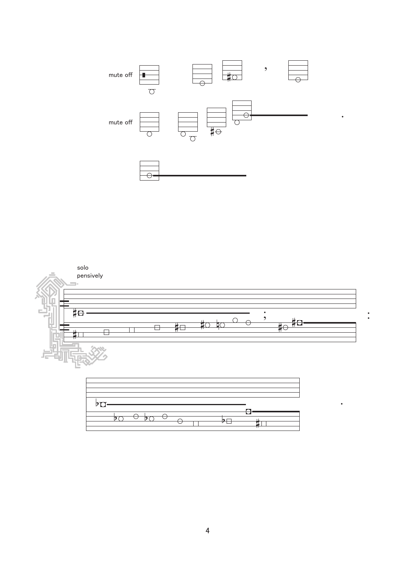





П

 $\overline{4}$